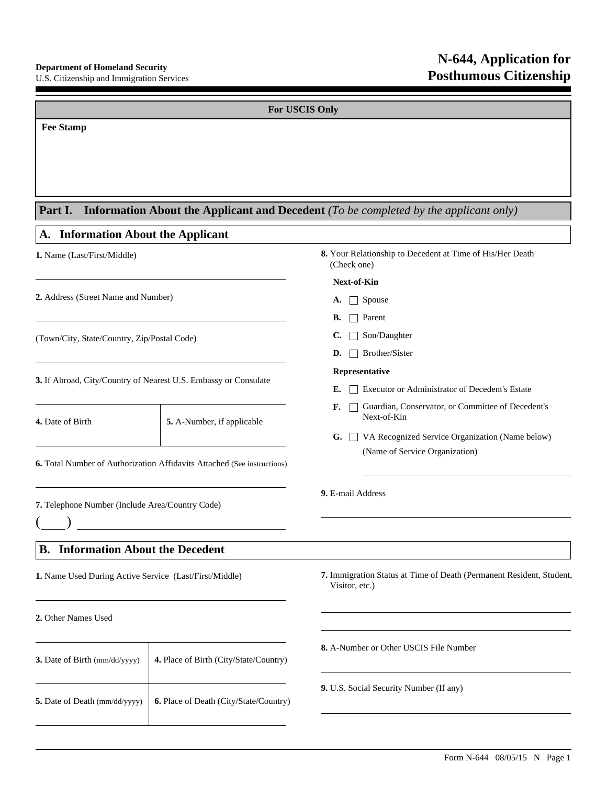Г

**N-644, Application for Posthumous Citizenship**

| <b>For USCIS Only</b>                                                   |                                        |                                                                                                                                 |  |  |  |
|-------------------------------------------------------------------------|----------------------------------------|---------------------------------------------------------------------------------------------------------------------------------|--|--|--|
| <b>Fee Stamp</b>                                                        |                                        |                                                                                                                                 |  |  |  |
| Part I.<br><b>Information About the Applicant</b>                       |                                        | <b>Information About the Applicant and Decedent</b> (To be completed by the applicant only)                                     |  |  |  |
| A.<br>1. Name (Last/First/Middle)                                       |                                        | 8. Your Relationship to Decedent at Time of His/Her Death<br>(Check one)                                                        |  |  |  |
| 2. Address (Street Name and Number)                                     |                                        | Next-of-Kin<br>$\Box$ Spouse<br>A.<br>Parent<br>В.                                                                              |  |  |  |
| (Town/City, State/Country, Zip/Postal Code)                             |                                        | Son/Daughter<br>C.<br>Brother/Sister<br>D.                                                                                      |  |  |  |
| 3. If Abroad, City/Country of Nearest U.S. Embassy or Consulate         |                                        | Representative<br>Executor or Administrator of Decedent's Estate<br>Е.                                                          |  |  |  |
| 4. Date of Birth                                                        | 5. A-Number, if applicable             | Guardian, Conservator, or Committee of Decedent's<br>F.<br>Next-of-Kin<br>VA Recognized Service Organization (Name below)<br>G. |  |  |  |
| 6. Total Number of Authorization Affidavits Attached (See instructions) |                                        | (Name of Service Organization)                                                                                                  |  |  |  |
| 7. Telephone Number (Include Area/Country Code)                         |                                        | 9. E-mail Address                                                                                                               |  |  |  |
| <b>B.</b> Information About the Decedent                                |                                        |                                                                                                                                 |  |  |  |
| 1. Name Used During Active Service (Last/First/Middle)                  |                                        | 7. Immigration Status at Time of Death (Permanent Resident, Student,<br>Visitor, etc.)                                          |  |  |  |
| 2. Other Names Used                                                     |                                        |                                                                                                                                 |  |  |  |
| 3. Date of Birth (mm/dd/yyyy)                                           | 4. Place of Birth (City/State/Country) | 8. A-Number or Other USCIS File Number                                                                                          |  |  |  |
| 5. Date of Death (mm/dd/yyyy)                                           | 6. Place of Death (City/State/Country) | 9. U.S. Social Security Number (If any)                                                                                         |  |  |  |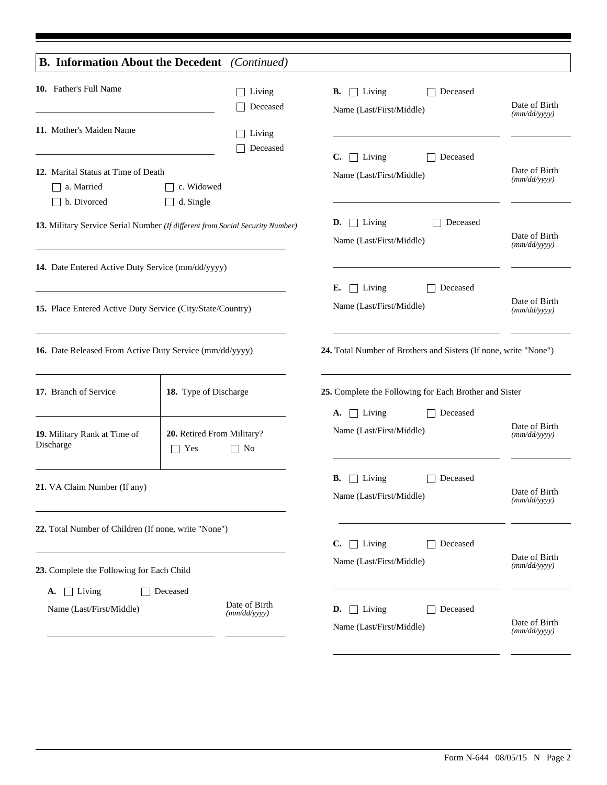|                                                                  | <b>B. Information About the Decedent</b> (Continued)                          |                                                                  |                               |  |  |  |
|------------------------------------------------------------------|-------------------------------------------------------------------------------|------------------------------------------------------------------|-------------------------------|--|--|--|
| 10. Father's Full Name                                           | $\Box$ Living<br>Deceased                                                     | <b>B.</b> $\Box$ Living<br>Deceased<br>Name (Last/First/Middle)  | Date of Birth<br>(mm/dd/yyyy) |  |  |  |
| 11. Mother's Maiden Name                                         | $\Box$ Living<br>Deceased                                                     | $\Box$ Living<br>$\mathbf{C}$ .<br>Deceased                      |                               |  |  |  |
| 12. Marital Status at Time of Death<br>a. Married<br>b. Divorced | c. Widowed<br>d. Single                                                       | Name (Last/First/Middle)                                         | Date of Birth<br>(mm/dd/yyyy) |  |  |  |
|                                                                  | 13. Military Service Serial Number (If different from Social Security Number) | <b>D.</b> $\Box$ Living<br>Deceased<br>Name (Last/First/Middle)  | Date of Birth<br>(mm/dd/yyyy) |  |  |  |
| 14. Date Entered Active Duty Service (mm/dd/yyyy)                |                                                                               |                                                                  |                               |  |  |  |
| 15. Place Entered Active Duty Service (City/State/Country)       |                                                                               | $\Box$ Living<br>Deceased<br>Е.<br>Name (Last/First/Middle)      | Date of Birth<br>(mm/dd/yyyy) |  |  |  |
| 16. Date Released From Active Duty Service (mm/dd/yyyy)          |                                                                               | 24. Total Number of Brothers and Sisters (If none, write "None") |                               |  |  |  |
| 17. Branch of Service<br>18. Type of Discharge                   |                                                                               | 25. Complete the Following for Each Brother and Sister           |                               |  |  |  |
| 19. Military Rank at Time of<br>Discharge                        | 20. Retired From Military?<br>$\top$ Yes<br>$\Box$ No                         | A. $\Box$ Living<br>Deceased<br>Name (Last/First/Middle)         | Date of Birth<br>(mm/dd/yyyy) |  |  |  |
| 21. VA Claim Number (If any)                                     |                                                                               | $\Box$ Living<br>Deceased<br>В.<br>Name (Last/First/Middle)      | Date of Birth<br>(mm/dd/yyyy) |  |  |  |
| 22. Total Number of Children (If none, write "None")             |                                                                               | $\Box$ Living<br>C.<br>Deceased                                  |                               |  |  |  |
| 23. Complete the Following for Each Child                        |                                                                               | Name (Last/First/Middle)                                         | Date of Birth<br>(mm/dd/yyyy) |  |  |  |
| $\Box$ Living<br>А.<br>Name (Last/First/Middle)                  | Deceased<br>Date of Birth<br>(mm/dd/yyyy)                                     | $\Box$ Living<br>Deceased<br>D.<br>Name (Last/First/Middle)      | Date of Birth<br>(mm/dd/yyyy) |  |  |  |
|                                                                  |                                                                               |                                                                  |                               |  |  |  |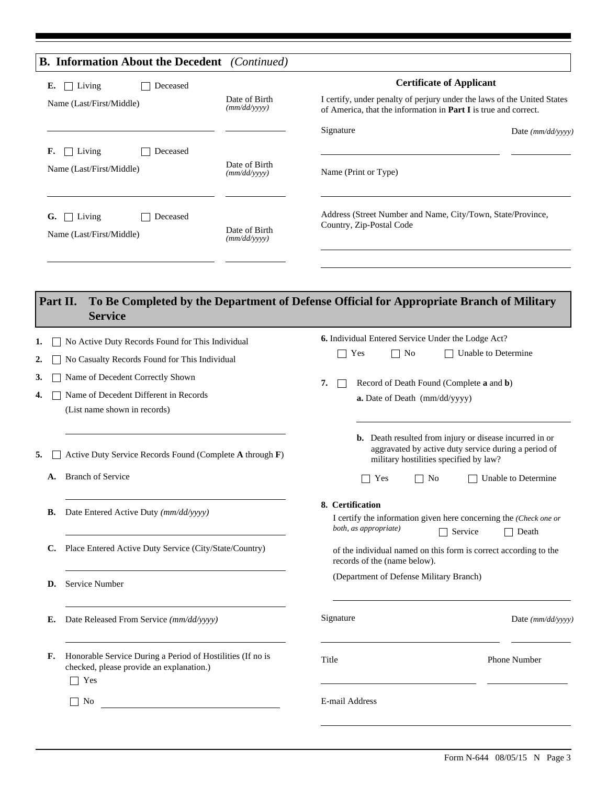|                                        | <b>B. Information About the Decedent</b> (Continued)                                                                 |                               |                                                                                                                                                                                                                                                      |                     |  |  |  |  |
|----------------------------------------|----------------------------------------------------------------------------------------------------------------------|-------------------------------|------------------------------------------------------------------------------------------------------------------------------------------------------------------------------------------------------------------------------------------------------|---------------------|--|--|--|--|
| Е.                                     | $\Box$ Living<br>Deceased                                                                                            |                               | <b>Certificate of Applicant</b>                                                                                                                                                                                                                      |                     |  |  |  |  |
| Name (Last/First/Middle)               |                                                                                                                      | Date of Birth<br>(mm/dd/yyyy) | I certify, under penalty of perjury under the laws of the United States<br>of America, that the information in Part I is true and correct.                                                                                                           |                     |  |  |  |  |
|                                        |                                                                                                                      |                               | Signature                                                                                                                                                                                                                                            | Date $(mm/dd/yyyy)$ |  |  |  |  |
| F.                                     | Living<br>Deceased<br>Name (Last/First/Middle)                                                                       | Date of Birth<br>(mm/dd/yyyy) | Name (Print or Type)                                                                                                                                                                                                                                 |                     |  |  |  |  |
| G.                                     | $\Box$ Living<br>Deceased<br>Name (Last/First/Middle)                                                                | Date of Birth<br>(mm/dd/yyyy) | Address (Street Number and Name, City/Town, State/Province,<br>Country, Zip-Postal Code                                                                                                                                                              |                     |  |  |  |  |
| Part II.                               | <b>Service</b>                                                                                                       |                               | To Be Completed by the Department of Defense Official for Appropriate Branch of Military                                                                                                                                                             |                     |  |  |  |  |
| ı.                                     | No Active Duty Records Found for This Individual                                                                     |                               | <b>6.</b> Individual Entered Service Under the Lodge Act?                                                                                                                                                                                            |                     |  |  |  |  |
| 2.                                     | No Casualty Records Found for This Individual                                                                        |                               | Yes<br>Unable to Determine<br>No                                                                                                                                                                                                                     |                     |  |  |  |  |
| Name of Decedent Correctly Shown<br>3. |                                                                                                                      |                               | Record of Death Found (Complete a and b)<br>7.                                                                                                                                                                                                       |                     |  |  |  |  |
| 4.                                     | Name of Decedent Different in Records<br>(List name shown in records)                                                |                               | a. Date of Death (mm/dd/yyyy)                                                                                                                                                                                                                        |                     |  |  |  |  |
| 5.                                     | Active Duty Service Records Found (Complete A through F)                                                             |                               | <b>b.</b> Death resulted from injury or disease incurred in or<br>aggravated by active duty service during a period of<br>military hostilities specified by law?                                                                                     |                     |  |  |  |  |
| A.                                     | <b>Branch of Service</b>                                                                                             |                               | Yes<br>No                                                                                                                                                                                                                                            | Unable to Determine |  |  |  |  |
| В.                                     | Date Entered Active Duty (mm/dd/yyyy)                                                                                |                               | 8. Certification<br>I certify the information given here concerning the (Check one or<br>both, as appropriate)<br>$\Box$ Service<br>$\Box$ Death<br>of the individual named on this form is correct according to the<br>records of the (name below). |                     |  |  |  |  |
| C.                                     | Place Entered Active Duty Service (City/State/Country)                                                               |                               |                                                                                                                                                                                                                                                      |                     |  |  |  |  |
| D.                                     | Service Number                                                                                                       |                               | (Department of Defense Military Branch)                                                                                                                                                                                                              |                     |  |  |  |  |
|                                        |                                                                                                                      |                               | Signature                                                                                                                                                                                                                                            | Date $(mm/dd/vyyy)$ |  |  |  |  |
| Е.                                     | Date Released From Service (mm/dd/yyyy)                                                                              |                               |                                                                                                                                                                                                                                                      |                     |  |  |  |  |
| F.                                     | Honorable Service During a Period of Hostilities (If no is<br>checked, please provide an explanation.)<br>$\Box$ Yes |                               | Title                                                                                                                                                                                                                                                | Phone Number        |  |  |  |  |